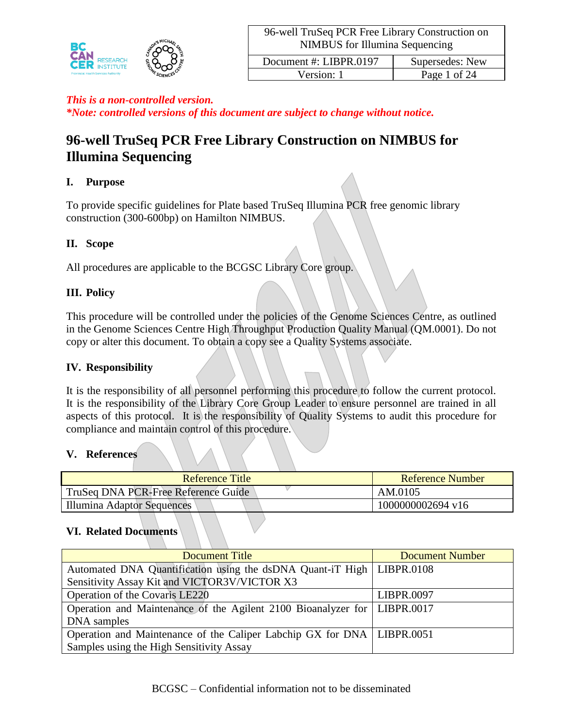

*\*Note: controlled versions of this document are subject to change without notice.*

# **96-well TruSeq PCR Free Library Construction on NIMBUS for Illumina Sequencing**

# **I. Purpose**

To provide specific guidelines for Plate based TruSeq Illumina PCR free genomic library construction (300-600bp) on Hamilton NIMBUS.

# **II. Scope**

All procedures are applicable to the BCGSC Library Core group.

# **III. Policy**

This procedure will be controlled under the policies of the Genome Sciences Centre, as outlined in the Genome Sciences Centre High Throughput Production Quality Manual (QM.0001). Do not copy or alter this document. To obtain a copy see a Quality Systems associate.

### **IV. Responsibility**

It is the responsibility of all personnel performing this procedure to follow the current protocol. It is the responsibility of the Library Core Group Leader to ensure personnel are trained in all aspects of this protocol. It is the responsibility of Quality Systems to audit this procedure for compliance and maintain control of this procedure.

### **V. References**

| Reference Title                     | Reference Number  |
|-------------------------------------|-------------------|
| TruSeq DNA PCR-Free Reference Guide | AM.0105           |
| Illumina Adaptor Sequences          | 1000000002694 v16 |

### **VI. Related Documents**

| Document Title                                                             | <b>Document Number</b> |
|----------------------------------------------------------------------------|------------------------|
| Automated DNA Quantification using the dsDNA Quant-iT High   LIBPR.0108    |                        |
| Sensitivity Assay Kit and VICTOR3V/VICTOR X3                               |                        |
| Operation of the Covaris LE220                                             | LIBPR.0097             |
| Operation and Maintenance of the Agilent 2100 Bioanalyzer for   LIBPR.0017 |                        |
| DNA samples                                                                |                        |
| Operation and Maintenance of the Caliper Labchip GX for DNA   LIBPR.0051   |                        |
| Samples using the High Sensitivity Assay                                   |                        |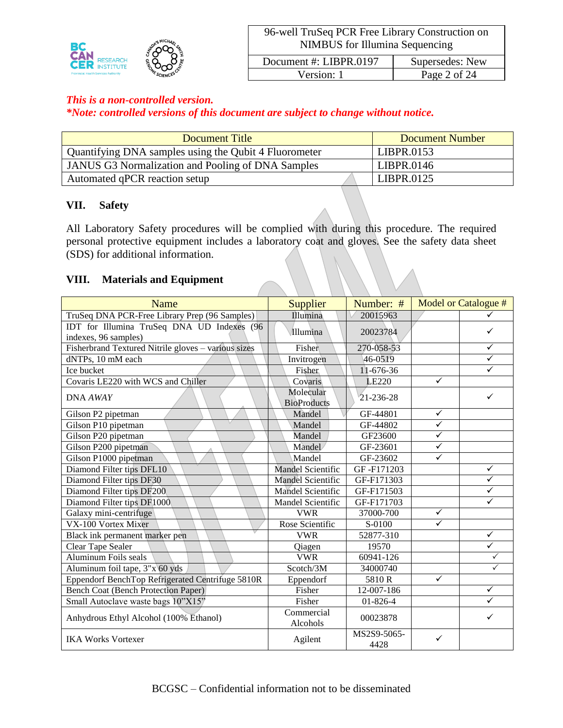

*\*Note: controlled versions of this document are subject to change without notice.*

| Document Title                                        | <b>Document Number</b> |
|-------------------------------------------------------|------------------------|
| Quantifying DNA samples using the Qubit 4 Fluorometer | LIBPR.0153             |
| JANUS G3 Normalization and Pooling of DNA Samples     | LIBPR.0146             |
| Automated qPCR reaction setup                         | LIBPR.0125             |

### **VII. Safety**

All Laboratory Safety procedures will be complied with during this procedure. The required personal protective equipment includes a laboratory coat and gloves. See the safety data sheet (SDS) for additional information.

### **VIII. Materials and Equipment**

| <b>Name</b>                                                        | Supplier                        | Number: #           |                         | Model or Catalogue # |
|--------------------------------------------------------------------|---------------------------------|---------------------|-------------------------|----------------------|
| TruSeq DNA PCR-Free Library Prep (96 Samples)                      | Illumina                        | 20015963            |                         |                      |
| IDT for Illumina TruSeq DNA UD Indexes (96<br>indexes, 96 samples) | Illumina                        | 20023784            |                         | ✓                    |
| Fisherbrand Textured Nitrile gloves - various sizes                | Fisher                          | 270-058-53          |                         | ✓                    |
| dNTPs, 10 mM each                                                  | Invitrogen                      | 46-0519             |                         | $\checkmark$         |
| Ice bucket                                                         | Fisher                          | 11-676-36           |                         |                      |
| Covaris LE220 with WCS and Chiller                                 | Covaris                         | LE220               | $\checkmark$            |                      |
| DNA AWAY                                                           | Molecular<br><b>BioProducts</b> | 21-236-28           |                         | ✓                    |
| Gilson P2 pipetman                                                 | Mandel                          | GF-44801            | $\checkmark$            |                      |
| Gilson P10 pipetman                                                | Mandel                          | GF-44802            | ✓                       |                      |
| Gilson P20 pipetman                                                | Mandel                          | GF23600             | $\checkmark$            |                      |
| Gilson P200 pipetman                                               | Mandel                          | GF-23601            | $\overline{\checkmark}$ |                      |
| Gilson P1000 pipetman                                              | Mandel                          | GF-23602            | $\checkmark$            |                      |
| Diamond Filter tips DFL10                                          | Mandel Scientific               | GF-F171203          |                         | $\checkmark$         |
| Diamond Filter tips DF30                                           | Mandel Scientific               | GF-F171303          |                         | $\checkmark$         |
| Diamond Filter tips DF200                                          | <b>Mandel Scientific</b>        | GF-F171503          |                         | ✓                    |
| Diamond Filter tips DF1000                                         | Mandel Scientific               | GF-F171703          |                         | $\checkmark$         |
| Galaxy mini-centrifuge                                             | <b>VWR</b>                      | 37000-700           | $\checkmark$            |                      |
| VX-100 Vortex Mixer                                                | Rose Scientific                 | S-0100              | $\checkmark$            |                      |
| Black ink permanent marker pen                                     | <b>VWR</b>                      | 52877-310           |                         | $\checkmark$         |
| Clear Tape Sealer                                                  | Qiagen                          | 19570               |                         | $\checkmark$         |
| Aluminum Foils seals                                               | <b>VWR</b>                      | 60941-126           |                         |                      |
| Aluminum foil tape, 3"x 60 yds                                     | Scotch/3M                       | 34000740            |                         | $\checkmark$         |
| Eppendorf BenchTop Refrigerated Centrifuge 5810R                   | Eppendorf                       | 5810R               | $\checkmark$            |                      |
| <b>Bench Coat (Bench Protection Paper)</b>                         | Fisher                          | 12-007-186          |                         | ✓                    |
| Small Autoclave waste bags 10"X15"                                 | Fisher                          | 01-826-4            |                         |                      |
| Anhydrous Ethyl Alcohol (100% Ethanol)                             | Commercial<br>Alcohols          | 00023878            |                         | ✓                    |
| <b>IKA Works Vortexer</b>                                          | Agilent                         | MS2S9-5065-<br>4428 | ✓                       |                      |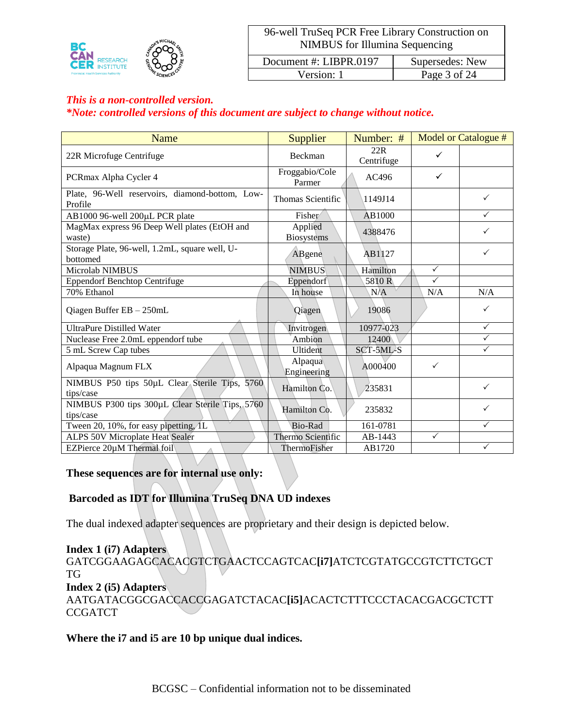

Version: 1 Page 3 of 24

#### *This is a non-controlled version.*

### *\*Note: controlled versions of this document are subject to change without notice.*

| <b>Name</b>                                                  | Supplier                     | Number: #         |              | <b>Model or Catalogue #</b> |
|--------------------------------------------------------------|------------------------------|-------------------|--------------|-----------------------------|
| 22R Microfuge Centrifuge                                     | Beckman                      | 22R<br>Centrifuge | ✓            |                             |
| PCRmax Alpha Cycler 4                                        | Froggabio/Cole<br>Parmer     | AC496             | ✓            |                             |
| Plate, 96-Well reservoirs, diamond-bottom, Low-<br>Profile   | <b>Thomas Scientific</b>     | 1149J14           |              | $\checkmark$                |
| AB1000 96-well 200µL PCR plate                               | Fisher                       | AB1000            |              | $\checkmark$                |
| MagMax express 96 Deep Well plates (EtOH and<br>waste)       | Applied<br><b>Biosystems</b> | 4388476           |              | ✓                           |
| Storage Plate, 96-well, 1.2mL, square well, U-<br>bottomed   | ABgene                       | AB1127            |              | ✓                           |
| Microlab NIMBUS                                              | <b>NIMBUS</b>                | Hamilton          | $\checkmark$ |                             |
| <b>Eppendorf Benchtop Centrifuge</b>                         | Eppendorf                    | 5810R             | $\checkmark$ |                             |
| 70% Ethanol                                                  | In house                     | N/A               | N/A          | N/A                         |
| Qiagen Buffer EB - 250mL                                     | Qiagen                       | 19086             |              | ✓                           |
| <b>UltraPure Distilled Water</b>                             | Invitrogen                   | 10977-023         |              | $\checkmark$                |
| Nuclease Free 2.0mL eppendorf tube                           | Ambion                       | 12400             |              | $\checkmark$                |
| 5 mL Screw Cap tubes                                         | <b>Ultident</b>              | SCT-5ML-S         |              | $\checkmark$                |
| Alpaqua Magnum FLX                                           | Alpaqua<br>Engineering       | A000400           | $\checkmark$ |                             |
| NIMBUS P50 tips 50µL Clear Sterile Tips, 5760<br>tips/case   | Hamilton Co.                 | 235831            |              | ✓                           |
| NIMBUS P300 tips 300µL Clear Sterile Tips, 5760<br>tips/case | Hamilton Co.                 | 235832            |              | ✓                           |
| Tween 20, 10%, for easy pipetting, 1L                        | Bio-Rad                      | 161-0781          |              | ✓                           |
| ALPS 50V Microplate Heat Sealer                              | Thermo Scientific            | AB-1443           | $\checkmark$ |                             |
| EZPierce 20µM Thermal foil                                   | ThermoFisher                 | AB1720            |              | $\checkmark$                |

# **These sequences are for internal use only:**

### **Barcoded as IDT for Illumina TruSeq DNA UD indexes**

The dual indexed adapter sequences are proprietary and their design is depicted below.

### **Index 1 (i7) Adapters**

GATCGGAAGAGCACACGTCTGAACTCCAGTCAC**[i7]**ATCTCGTATGCCGTCTTCTGCT TG **Index 2 (i5) Adapters** AATGATACGGCGACCACCGAGATCTACAC**[i5]**ACACTCTTTCCCTACACGACGCTCTT **CCGATCT** 

#### **Where the i7 and i5 are 10 bp unique dual indices.**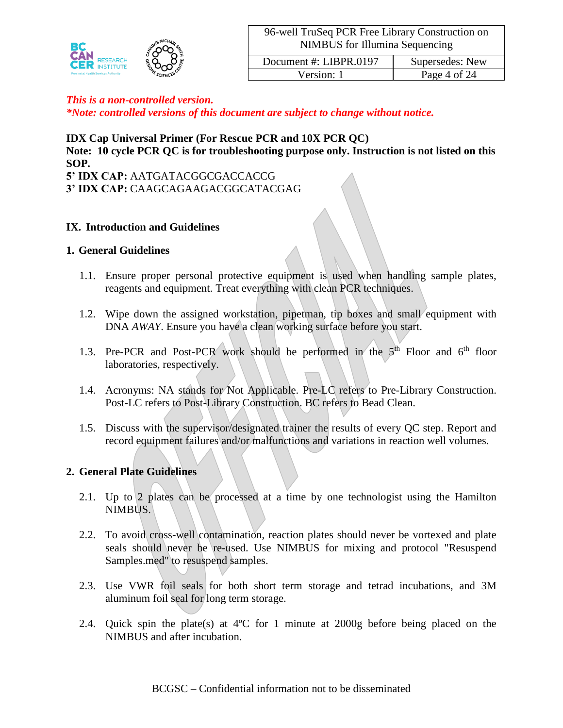

Version: 1 Page 4 of 24

### *This is a non-controlled version.*

*\*Note: controlled versions of this document are subject to change without notice.*

### **IDX Cap Universal Primer (For Rescue PCR and 10X PCR QC)**

**Note: 10 cycle PCR QC is for troubleshooting purpose only. Instruction is not listed on this SOP.**

**5' IDX CAP:** AATGATACGGCGACCACCG **3' IDX CAP:** CAAGCAGAAGACGGCATACGAG

### **IX. Introduction and Guidelines**

#### **1. General Guidelines**

- 1.1. Ensure proper personal protective equipment is used when handling sample plates, reagents and equipment. Treat everything with clean PCR techniques.
- 1.2. Wipe down the assigned workstation, pipetman, tip boxes and small equipment with DNA *AWAY*. Ensure you have a clean working surface before you start.
- 1.3. Pre-PCR and Post-PCR work should be performed in the  $5<sup>th</sup>$  Floor and  $6<sup>th</sup>$  floor laboratories, respectively.
- 1.4. Acronyms: NA stands for Not Applicable. Pre-LC refers to Pre-Library Construction. Post-LC refers to Post-Library Construction. BC refers to Bead Clean.
- 1.5. Discuss with the supervisor/designated trainer the results of every QC step. Report and record equipment failures and/or malfunctions and variations in reaction well volumes.

### **2. General Plate Guidelines**

- 2.1. Up to 2 plates can be processed at a time by one technologist using the Hamilton NIMBUS.
- 2.2. To avoid cross-well contamination, reaction plates should never be vortexed and plate seals should never be re-used. Use NIMBUS for mixing and protocol "Resuspend" Samples.med" to resuspend samples.
- 2.3. Use VWR foil seals for both short term storage and tetrad incubations, and 3M aluminum foil seal for long term storage.
- 2.4. Quick spin the plate(s) at 4ºC for 1 minute at 2000g before being placed on the NIMBUS and after incubation.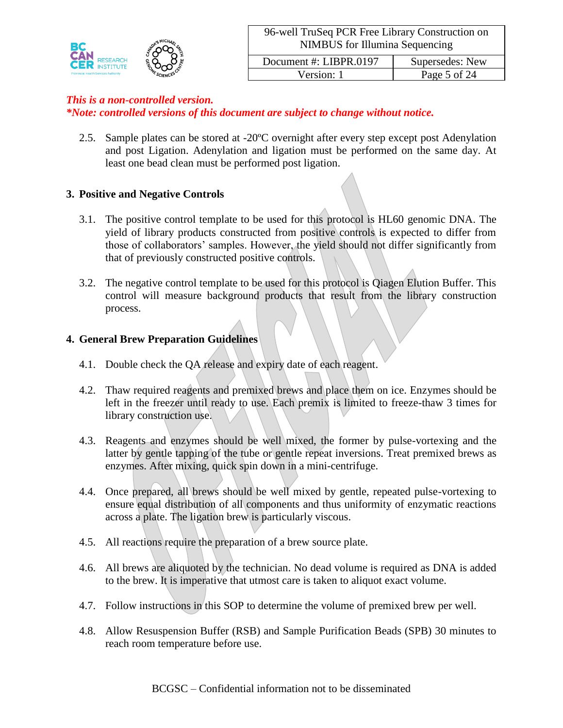

*\*Note: controlled versions of this document are subject to change without notice.*

2.5. Sample plates can be stored at -20ºC overnight after every step except post Adenylation and post Ligation. Adenylation and ligation must be performed on the same day. At least one bead clean must be performed post ligation.

### **3. Positive and Negative Controls**

- 3.1. The positive control template to be used for this protocol is HL60 genomic DNA. The yield of library products constructed from positive controls is expected to differ from those of collaborators' samples. However, the yield should not differ significantly from that of previously constructed positive controls.
- 3.2. The negative control template to be used for this protocol is Qiagen Elution Buffer. This control will measure background products that result from the library construction process.

### **4. General Brew Preparation Guidelines**

- 4.1. Double check the QA release and expiry date of each reagent.
- 4.2. Thaw required reagents and premixed brews and place them on ice. Enzymes should be left in the freezer until ready to use. Each premix is limited to freeze-thaw 3 times for library construction use.
- 4.3. Reagents and enzymes should be well mixed, the former by pulse-vortexing and the latter by gentle tapping of the tube or gentle repeat inversions. Treat premixed brews as enzymes. After mixing, quick spin down in a mini-centrifuge.
- 4.4. Once prepared, all brews should be well mixed by gentle, repeated pulse-vortexing to ensure equal distribution of all components and thus uniformity of enzymatic reactions across a plate. The ligation brew is particularly viscous.
- 4.5. All reactions require the preparation of a brew source plate.
- 4.6. All brews are aliquoted by the technician. No dead volume is required as DNA is added to the brew. It is imperative that utmost care is taken to aliquot exact volume.
- 4.7. Follow instructions in this SOP to determine the volume of premixed brew per well.
- 4.8. Allow Resuspension Buffer (RSB) and Sample Purification Beads (SPB) 30 minutes to reach room temperature before use.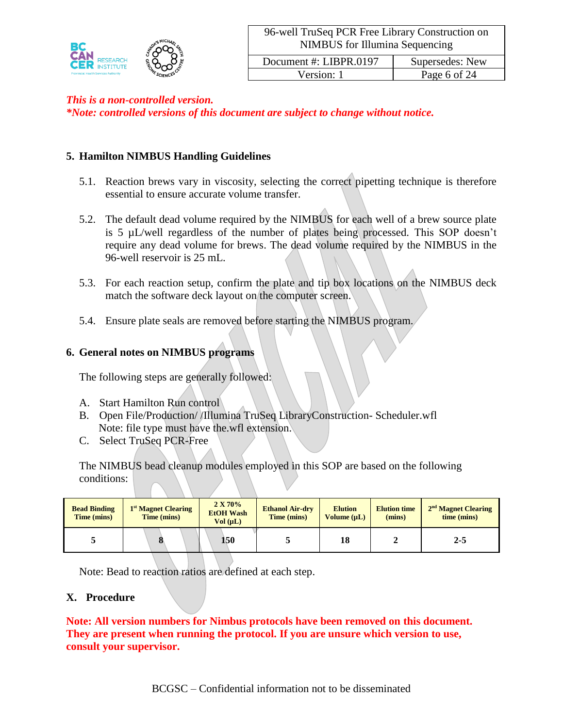

*\*Note: controlled versions of this document are subject to change without notice.*

# **5. Hamilton NIMBUS Handling Guidelines**

- 5.1. Reaction brews vary in viscosity, selecting the correct pipetting technique is therefore essential to ensure accurate volume transfer.
- 5.2. The default dead volume required by the NIMBUS for each well of a brew source plate is 5 µL/well regardless of the number of plates being processed. This SOP doesn't require any dead volume for brews. The dead volume required by the NIMBUS in the 96-well reservoir is 25 mL.
- 5.3. For each reaction setup, confirm the plate and tip box locations on the NIMBUS deck match the software deck layout on the computer screen.
- 5.4. Ensure plate seals are removed before starting the NIMBUS program.

### **6. General notes on NIMBUS programs**

The following steps are generally followed:

- A. Start Hamilton Run control
- B. Open File/Production/ /Illumina TruSeq LibraryConstruction- Scheduler.wfl Note: file type must have the.wfl extension.
- C. Select TruSeq PCR-Free

The NIMBUS bead cleanup modules employed in this SOP are based on the following conditions:

| <b>Bead Binding</b><br>Time (mins) | 1 <sup>st</sup> Magnet Clearing<br>Time (mins) | 2 X 70%<br><b>EtOH</b> Wash<br>Vol (uL) | <b>Ethanol Air-dry</b><br>Time (mins) | <b>Elution</b><br>Volume $(\mu L)$ | <b>Elution time</b><br>(mins) | 2 <sup>nd</sup> Magnet Clearing<br>time (mins) |
|------------------------------------|------------------------------------------------|-----------------------------------------|---------------------------------------|------------------------------------|-------------------------------|------------------------------------------------|
|                                    |                                                | 150                                     |                                       | 18                                 |                               | $2 - 5$                                        |

Note: Bead to reaction ratios are defined at each step.

### **X. Procedure**

**Note: All version numbers for Nimbus protocols have been removed on this document. They are present when running the protocol. If you are unsure which version to use, consult your supervisor.**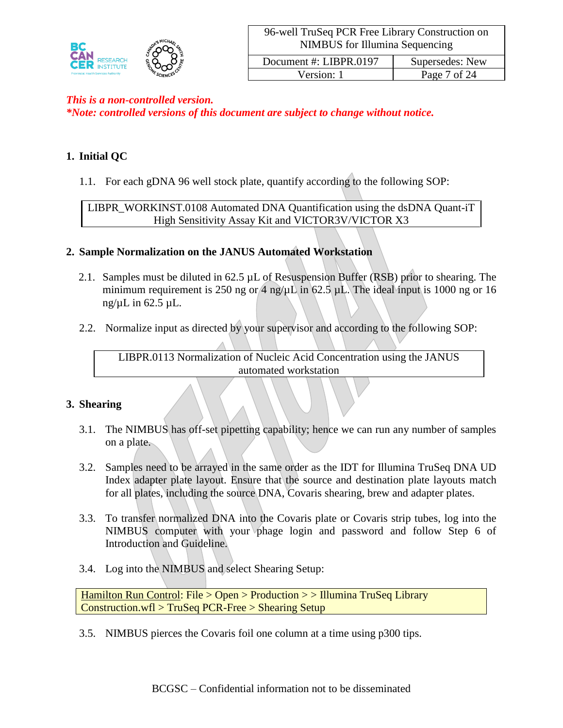

Version: 1 Page 7 of 24

# *This is a non-controlled version. \*Note: controlled versions of this document are subject to change without notice.*

# **1. Initial QC**

1.1. For each gDNA 96 well stock plate, quantify according to the following SOP:

LIBPR\_WORKINST.0108 Automated DNA Quantification using the dsDNA Quant-iT High Sensitivity Assay Kit and VICTOR3V/VICTOR X3

### **2. Sample Normalization on the JANUS Automated Workstation**

- 2.1. Samples must be diluted in 62.5 µL of Resuspension Buffer (RSB) prior to shearing. The minimum requirement is 250 ng or 4 ng/ $\mu$ L in 62.5  $\mu$ L. The ideal input is 1000 ng or 16 ng/ $\mu$ L in 62.5  $\mu$ L.
- 2.2. Normalize input as directed by your supervisor and according to the following SOP:

LIBPR.0113 Normalization of Nucleic Acid Concentration using the JANUS automated workstation

### **3. Shearing**

- 3.1. The NIMBUS has off-set pipetting capability; hence we can run any number of samples on a plate.
- 3.2. Samples need to be arrayed in the same order as the IDT for Illumina TruSeq DNA UD Index adapter plate layout. Ensure that the source and destination plate layouts match for all plates, including the source DNA, Covaris shearing, brew and adapter plates.
- 3.3. To transfer normalized DNA into the Covaris plate or Covaris strip tubes, log into the NIMBUS computer with your phage login and password and follow Step 6 of Introduction and Guideline.
- 3.4. Log into the NIMBUS and select Shearing Setup:

Hamilton Run Control: File > Open > Production > > Illumina TruSeq Library Construction.wfl > TruSeq PCR-Free > Shearing Setup

3.5. NIMBUS pierces the Covaris foil one column at a time using p300 tips.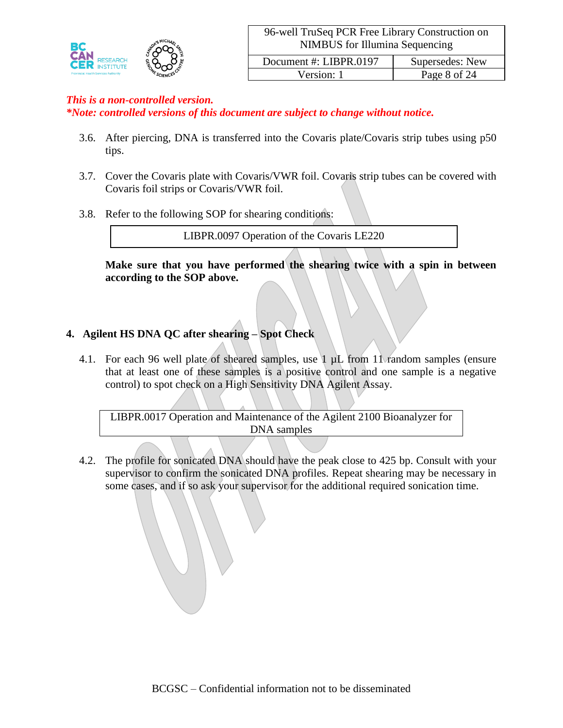

*\*Note: controlled versions of this document are subject to change without notice.*

- 3.6. After piercing, DNA is transferred into the Covaris plate/Covaris strip tubes using p50 tips.
- 3.7. Cover the Covaris plate with Covaris/VWR foil. Covaris strip tubes can be covered with Covaris foil strips or Covaris/VWR foil.
- 3.8. Refer to the following SOP for shearing conditions:

LIBPR.0097 Operation of the Covaris LE220

**Make sure that you have performed the shearing twice with a spin in between according to the SOP above.**

# **4. Agilent HS DNA QC after shearing – Spot Check**

4.1. For each 96 well plate of sheared samples, use 1 µL from 11 random samples (ensure that at least one of these samples is a positive control and one sample is a negative control) to spot check on a High Sensitivity DNA Agilent Assay.

LIBPR.0017 Operation and Maintenance of the Agilent 2100 Bioanalyzer for DNA samples

4.2. The profile for sonicated DNA should have the peak close to 425 bp. Consult with your supervisor to confirm the sonicated DNA profiles. Repeat shearing may be necessary in some cases, and if so ask your supervisor for the additional required sonication time.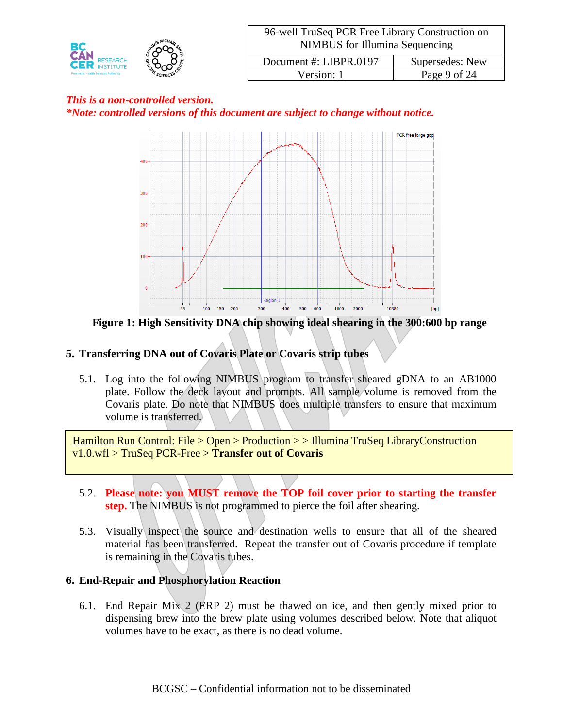

# *This is a non-controlled version. \*Note: controlled versions of this document are subject to change without notice.*



**Figure 1: High Sensitivity DNA chip showing ideal shearing in the 300:600 bp range**

# **5. Transferring DNA out of Covaris Plate or Covaris strip tubes**

5.1. Log into the following NIMBUS program to transfer sheared gDNA to an AB1000 plate. Follow the deck layout and prompts. All sample volume is removed from the Covaris plate. Do note that NIMBUS does multiple transfers to ensure that maximum volume is transferred.

Hamilton Run Control: File > Open > Production > > Illumina TruSeq LibraryConstruction v1.0.wfl > TruSeq PCR-Free > **Transfer out of Covaris**

- 5.2. **Please note: you MUST remove the TOP foil cover prior to starting the transfer step.** The NIMBUS is not programmed to pierce the foil after shearing.
- 5.3. Visually inspect the source and destination wells to ensure that all of the sheared material has been transferred. Repeat the transfer out of Covaris procedure if template is remaining in the Covaris tubes.

# **6. End-Repair and Phosphorylation Reaction**

6.1. End Repair Mix 2 (ERP 2) must be thawed on ice, and then gently mixed prior to dispensing brew into the brew plate using volumes described below. Note that aliquot volumes have to be exact, as there is no dead volume.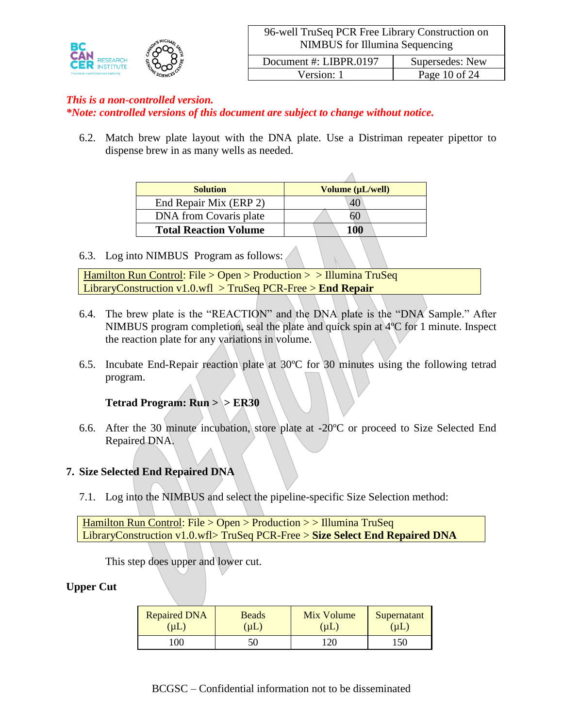

*\*Note: controlled versions of this document are subject to change without notice.*

6.2. Match brew plate layout with the DNA plate. Use a Distriman repeater pipettor to dispense brew in as many wells as needed.

| <b>Solution</b>              | Volume (µL/well) |
|------------------------------|------------------|
| End Repair Mix (ERP 2)       | 40               |
| DNA from Covaris plate       | 60               |
| <b>Total Reaction Volume</b> | 100              |

6.3. Log into NIMBUS Program as follows:

Hamilton Run Control: File > Open > Production > > Illumina TruSeq LibraryConstruction v1.0.wfl > TruSeq PCR-Free > **End Repair**

- 6.4. The brew plate is the "REACTION" and the DNA plate is the "DNA Sample." After NIMBUS program completion, seal the plate and quick spin at 4ºC for 1 minute. Inspect the reaction plate for any variations in volume.
- 6.5. Incubate End-Repair reaction plate at 30ºC for 30 minutes using the following tetrad program.

# **Tetrad Program: Run > > ER30**

6.6. After the 30 minute incubation, store plate at -20ºC or proceed to Size Selected End Repaired DNA.

### **7. Size Selected End Repaired DNA**

7.1. Log into the NIMBUS and select the pipeline-specific Size Selection method:

Hamilton Run Control: File > Open > Production > > Illumina TruSeq LibraryConstruction v1.0.wfl> TruSeq PCR-Free > **Size Select End Repaired DNA**

This step does upper and lower cut.

### **Upper Cut**

| <b>Repaired DNA</b> | <b>Beads</b> | Mix Volume | Supernatant |
|---------------------|--------------|------------|-------------|
| $(\mu L)$           | $(\mu L)$    | $(\mu L)$  | (µL)        |
| 00                  |              | 120        | 150         |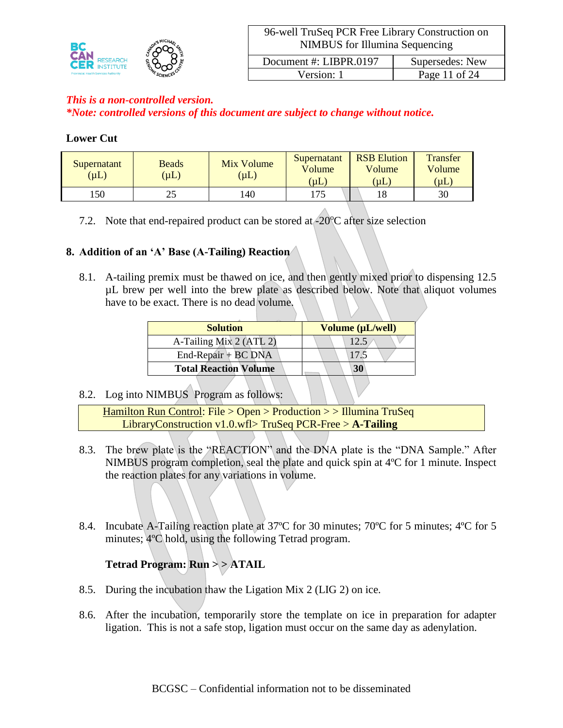

# *This is a non-controlled version. \*Note: controlled versions of this document are subject to change without notice.*

### **Lower Cut**

| Supernatant<br>$(\mu L)$ | <b>Beads</b><br>$(\mu L)$ | Mix Volume<br>$(\mu L)$ | Supernatant<br>Volume<br>$(\mu L)$ | <b>RSB</b> Elution<br>Volume<br>$(\mu L)$ | <b>Transfer</b><br>Volume<br>(µ $L$ ) |
|--------------------------|---------------------------|-------------------------|------------------------------------|-------------------------------------------|---------------------------------------|
| .50                      | رے                        | 40                      | 175                                | 18                                        | 30                                    |

7.2. Note that end-repaired product can be stored at  $-20^{\circ}$ C after size selection

# **8. Addition of an 'A' Base (A-Tailing) Reaction**

8.1. A-tailing premix must be thawed on ice, and then gently mixed prior to dispensing 12.5 µL brew per well into the brew plate as described below. Note that aliquot volumes have to be exact. There is no dead volume.

| <b>Solution</b>              | Volume (µL/well) |
|------------------------------|------------------|
| A-Tailing Mix 2 (ATL 2)      |                  |
| $End$ -Repair + BC DNA       | 17.5             |
| <b>Total Reaction Volume</b> | 30               |

# 8.2. Log into NIMBUS Program as follows:

Hamilton Run Control: File > Open > Production > > Illumina TruSeq LibraryConstruction v1.0.wfl> TruSeq PCR-Free > **A-Tailing**

- 8.3. The brew plate is the "REACTION" and the DNA plate is the "DNA Sample." After NIMBUS program completion, seal the plate and quick spin at 4ºC for 1 minute. Inspect the reaction plates for any variations in volume.
- 8.4. Incubate A-Tailing reaction plate at 37<sup>o</sup>C for 30 minutes; 70<sup>o</sup>C for 5 minutes; 4<sup>o</sup>C for 5 minutes; 4ºC hold, using the following Tetrad program.

# **Tetrad Program: Run > > ATAIL**

- 8.5. During the incubation thaw the Ligation Mix 2 (LIG 2) on ice.
- 8.6. After the incubation, temporarily store the template on ice in preparation for adapter ligation. This is not a safe stop, ligation must occur on the same day as adenylation.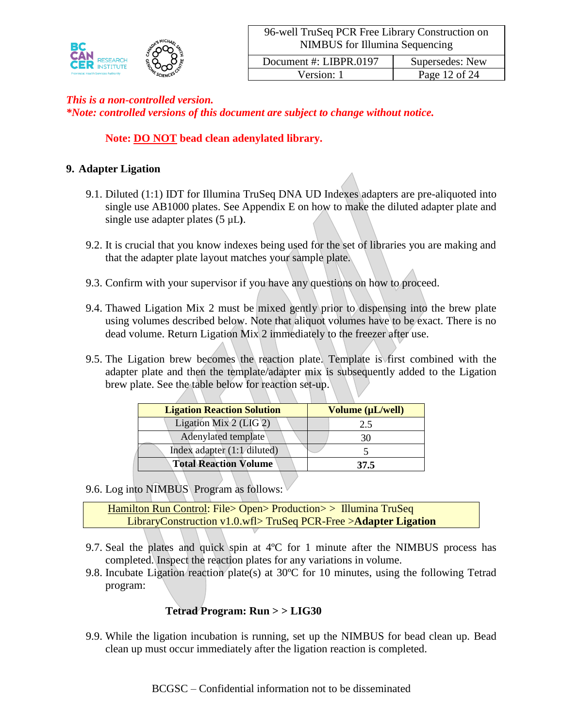

*\*Note: controlled versions of this document are subject to change without notice.*

# **Note: DO NOT bead clean adenylated library.**

### **9. Adapter Ligation**

- 9.1. Diluted (1:1) IDT for Illumina TruSeq DNA UD Indexes adapters are pre-aliquoted into single use AB1000 plates. See Appendix E on how to make the diluted adapter plate and single use adapter plates (5 µL**)**.
- 9.2. It is crucial that you know indexes being used for the set of libraries you are making and that the adapter plate layout matches your sample plate.
- 9.3. Confirm with your supervisor if you have any questions on how to proceed.
- 9.4. Thawed Ligation Mix 2 must be mixed gently prior to dispensing into the brew plate using volumes described below. Note that aliquot volumes have to be exact. There is no dead volume. Return Ligation Mix 2 immediately to the freezer after use.
- 9.5. The Ligation brew becomes the reaction plate. Template is first combined with the adapter plate and then the template/adapter mix is subsequently added to the Ligation brew plate. See the table below for reaction set-up.

| Volume (µL/well) |
|------------------|
| 2.5              |
|                  |
|                  |
| 37.5             |
|                  |

9.6. Log into NIMBUS Program as follows:

Hamilton Run Control: File> Open> Production> > Illumina TruSeq LibraryConstruction v1.0.wfl> TruSeq PCR-Free >**Adapter Ligation**

- 9.7. Seal the plates and quick spin at  $4^{\circ}$ C for 1 minute after the NIMBUS process has completed. Inspect the reaction plates for any variations in volume.
- 9.8. Incubate Ligation reaction plate(s) at 30ºC for 10 minutes, using the following Tetrad program:

# **Tetrad Program: Run > > LIG30**

9.9. While the ligation incubation is running, set up the NIMBUS for bead clean up. Bead clean up must occur immediately after the ligation reaction is completed.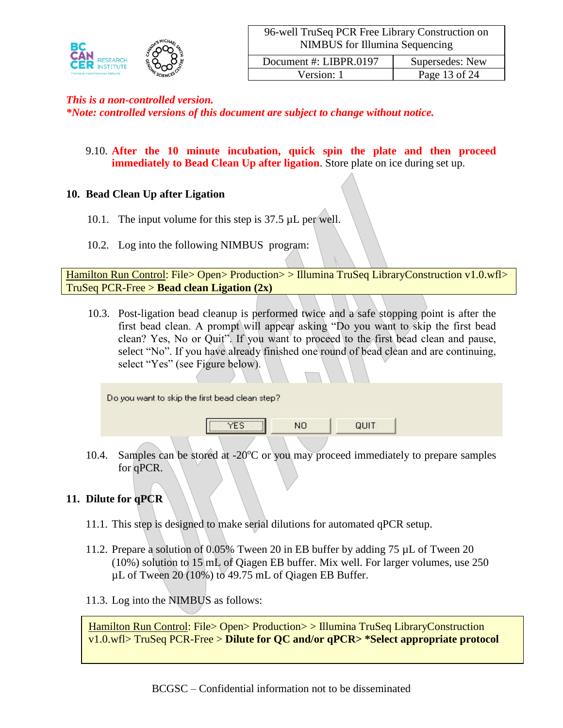

*\*Note: controlled versions of this document are subject to change without notice.*

9.10. **After the 10 minute incubation, quick spin the plate and then proceed immediately to Bead Clean Up after ligation**. Store plate on ice during set up.

# **10. Bead Clean Up after Ligation**

- 10.1. The input volume for this step is 37.5 µL per well.
- 10.2. Log into the following NIMBUS program:

Hamilton Run Control: File> Open> Production> > Illumina TruSeq LibraryConstruction v1.0.wfl> TruSeq PCR-Free > **Bead clean Ligation (2x)**

10.3. Post-ligation bead cleanup is performed twice and a safe stopping point is after the first bead clean. A prompt will appear asking "Do you want to skip the first bead clean? Yes, No or Quit". If you want to proceed to the first bead clean and pause, select "No". If you have already finished one round of bead clean and are continuing, select "Yes" (see Figure below).

| Do you want to skip the first bead clean step?                            |     |      |  |
|---------------------------------------------------------------------------|-----|------|--|
| ,,,,,,,,,,,,,,,,,,,,,,,,,,,,,,,,,,,<br>,,,,,,,,,,,,,,,,,,,,,,,,,,,,,,,,,, | NO. | QUIT |  |
|                                                                           |     |      |  |

10.4. Samples can be stored at  $-20^{\circ}$ C or you may proceed immediately to prepare samples for qPCR.

# **11. Dilute for qPCR**

- 11.1. This step is designed to make serial dilutions for automated qPCR setup.
- 11.2. Prepare a solution of 0.05% Tween 20 in EB buffer by adding 75 µL of Tween 20 (10%) solution to 15 mL of Qiagen EB buffer. Mix well. For larger volumes, use 250 µL of Tween 20 (10%) to 49.75 mL of Qiagen EB Buffer.
- 11.3. Log into the NIMBUS as follows:

Hamilton Run Control: File> Open> Production> > Illumina TruSeq LibraryConstruction v1.0.wfl> TruSeq PCR-Free > **Dilute for QC and/or qPCR> \*Select appropriate protocol**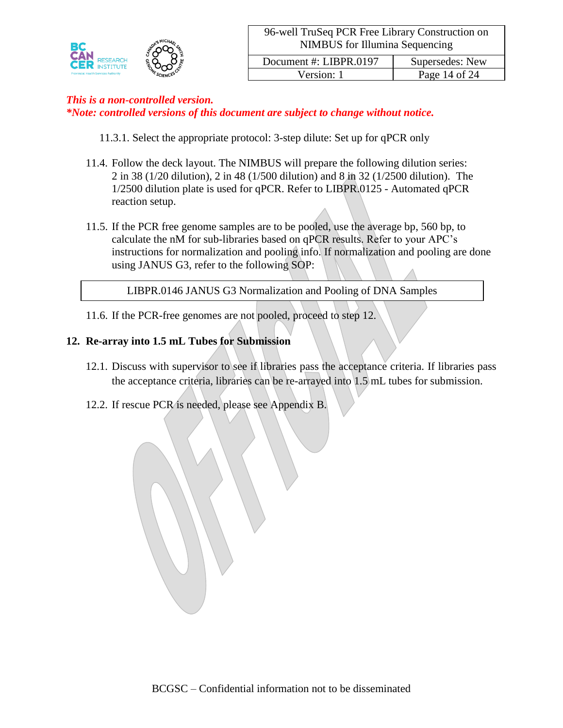

Version: 1 Page 14 of 24

# *This is a non-controlled version.*

*\*Note: controlled versions of this document are subject to change without notice.*

- 11.3.1. Select the appropriate protocol: 3-step dilute: Set up for qPCR only
- 11.4. Follow the deck layout. The NIMBUS will prepare the following dilution series: 2 in 38 (1/20 dilution), 2 in 48 (1/500 dilution) and 8 in 32 (1/2500 dilution). The 1/2500 dilution plate is used for qPCR. Refer to LIBPR.0125 - Automated qPCR reaction setup.
- 11.5. If the PCR free genome samples are to be pooled, use the average bp, 560 bp, to calculate the nM for sub-libraries based on qPCR results. Refer to your APC's instructions for normalization and pooling info. If normalization and pooling are done using JANUS G3, refer to the following SOP:

LIBPR.0146 JANUS G3 Normalization and Pooling of DNA Samples

11.6. If the PCR-free genomes are not pooled, proceed to step 12.

### **12. Re-array into 1.5 mL Tubes for Submission**

- 12.1. Discuss with supervisor to see if libraries pass the acceptance criteria. If libraries pass the acceptance criteria, libraries can be re-arrayed into 1.5 mL tubes for submission.
- 12.2. If rescue PCR is needed, please see Appendix B.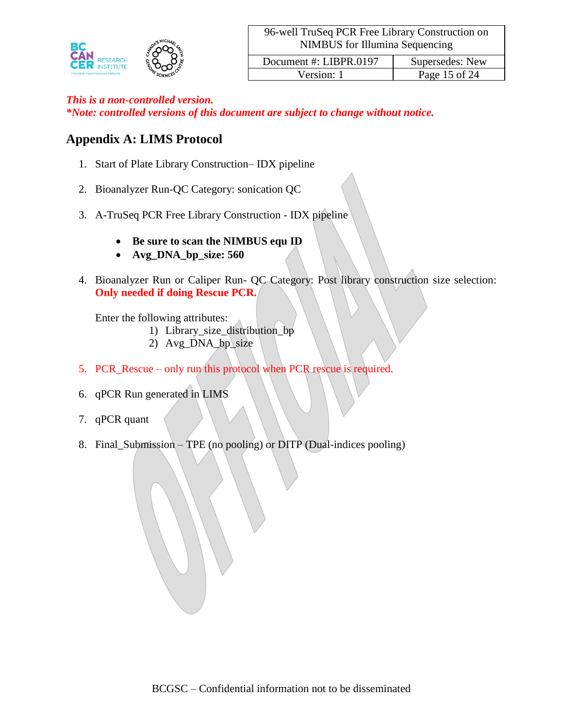

*\*Note: controlled versions of this document are subject to change without notice.*

# **Appendix A: LIMS Protocol**

- 1. Start of Plate Library Construction– IDX pipeline
- 2. Bioanalyzer Run-QC Category: sonication QC
- 3. A-TruSeq PCR Free Library Construction IDX pipeline
	- **Be sure to scan the NIMBUS equ ID**
	- **Avg\_DNA\_bp\_size: 560**
- 4. Bioanalyzer Run or Caliper Run- QC Category: Post library construction size selection: **Only needed if doing Rescue PCR.**

Enter the following attributes:

- 1) Library\_size\_distribution\_bp
	- 2) Avg\_DNA\_bp\_size
- 5. PCR\_Rescue only run this protocol when PCR rescue is required.
- 6. qPCR Run generated in LIMS
- 7. qPCR quant
- 8. Final\_Submission TPE (no pooling) or DITP (Dual-indices pooling)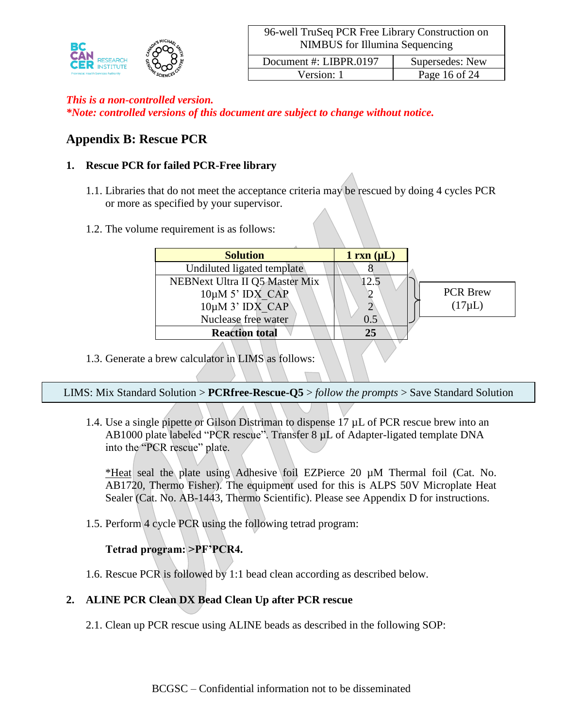

*\*Note: controlled versions of this document are subject to change without notice.*

# **Appendix B: Rescue PCR**

# **1. Rescue PCR for failed PCR-Free library**

- 1.1. Libraries that do not meet the acceptance criteria may be rescued by doing 4 cycles PCR or more as specified by your supervisor.
- 1.2. The volume requirement is as follows:

| <b>Solution</b>                                                                                       | $1 \text{ rxn } (\mu L)$ |                                |
|-------------------------------------------------------------------------------------------------------|--------------------------|--------------------------------|
| Undiluted ligated template                                                                            |                          |                                |
| NEBNext Ultra II Q5 Master Mix<br>$10\mu$ M 5' IDX CAP<br>$10\mu$ M 3' IDX CAP<br>Nuclease free water | 12.5<br>0.5              | <b>PCR Brew</b><br>$(17\mu L)$ |
| <b>Reaction total</b>                                                                                 | 25                       |                                |
|                                                                                                       |                          |                                |

1.3. Generate a brew calculator in LIMS as follows:

LIMS: Mix Standard Solution > **PCRfree-Rescue-Q5** > *follow the prompts* > Save Standard Solution

1.4. Use a single pipette or Gilson Distriman to dispense 17 µL of PCR rescue brew into an AB1000 plate labeled "PCR rescue". Transfer 8 µL of Adapter-ligated template DNA into the "PCR rescue" plate.

\*Heat seal the plate using Adhesive foil EZPierce 20 µM Thermal foil (Cat. No. AB1720, Thermo Fisher). The equipment used for this is ALPS 50V Microplate Heat Sealer (Cat. No. AB-1443, Thermo Scientific). Please see Appendix D for instructions.

1.5. Perform 4 cycle PCR using the following tetrad program:

# **Tetrad program: >PF'PCR4.**

1.6. Rescue PCR is followed by 1:1 bead clean according as described below.

# **2. ALINE PCR Clean DX Bead Clean Up after PCR rescue**

2.1. Clean up PCR rescue using ALINE beads as described in the following SOP: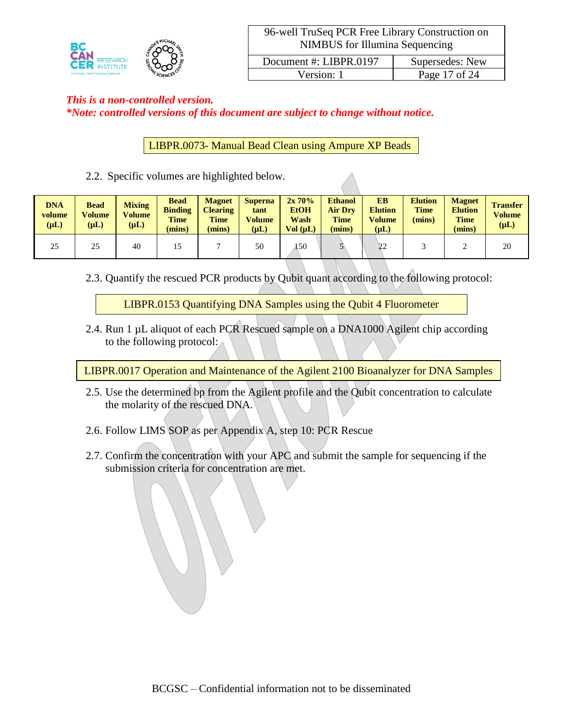

# *This is a non-controlled version. \*Note: controlled versions of this document are subject to change without notice.*

LIBPR.0073- Manual Bead Clean using Ampure XP Beads

2.2. Specific volumes are highlighted below.

| <b>DNA</b><br>volume<br>$(\mu L)$ | <b>Bead</b><br><b>Volume</b><br>$(\mu L)$ | <b>Mixing</b><br>Volume<br>$(\mu L)$ | <b>Bead</b><br><b>Binding</b><br><b>Time</b><br>(mins) | <b>Magnet</b><br><b>Clearing</b><br><b>Time</b><br>(mins) | <b>Superna</b><br>tant<br>Volume<br>$(\mu L)$ | $2x\,70\%$<br><b>EtOH</b><br>Wash<br>Vol (uL) | <b>Ethanol</b><br><b>Air Drv</b><br><b>Time</b><br>(mins) | <b>EB</b><br><b>Elution</b><br><b>Volume</b><br>$(\mu L)$ | <b>Elution</b><br><b>Time</b><br>(mins) | <b>Magnet</b><br><b>Elution</b><br><b>Time</b><br>(mins) | <b>Transfer</b><br><b>Volume</b><br>$(\mu L)$ |
|-----------------------------------|-------------------------------------------|--------------------------------------|--------------------------------------------------------|-----------------------------------------------------------|-----------------------------------------------|-----------------------------------------------|-----------------------------------------------------------|-----------------------------------------------------------|-----------------------------------------|----------------------------------------------------------|-----------------------------------------------|
| 25                                | 25                                        | 40                                   |                                                        |                                                           | 50                                            | 150                                           |                                                           | ാറ                                                        |                                         |                                                          | 20                                            |

2.3. Quantify the rescued PCR products by Qubit quant according to the following protocol:

LIBPR.0153 Quantifying DNA Samples using the Qubit 4 Fluorometer

2.4. Run 1 µL aliquot of each PCR Rescued sample on a DNA1000 Agilent chip according to the following protocol:

LIBPR.0017 Operation and Maintenance of the Agilent 2100 Bioanalyzer for DNA Samples

- 2.5. Use the determined bp from the Agilent profile and the Qubit concentration to calculate the molarity of the rescued DNA.
- 2.6. Follow LIMS SOP as per Appendix A, step 10: PCR Rescue
- 2.7. Confirm the concentration with your APC and submit the sample for sequencing if the submission criteria for concentration are met.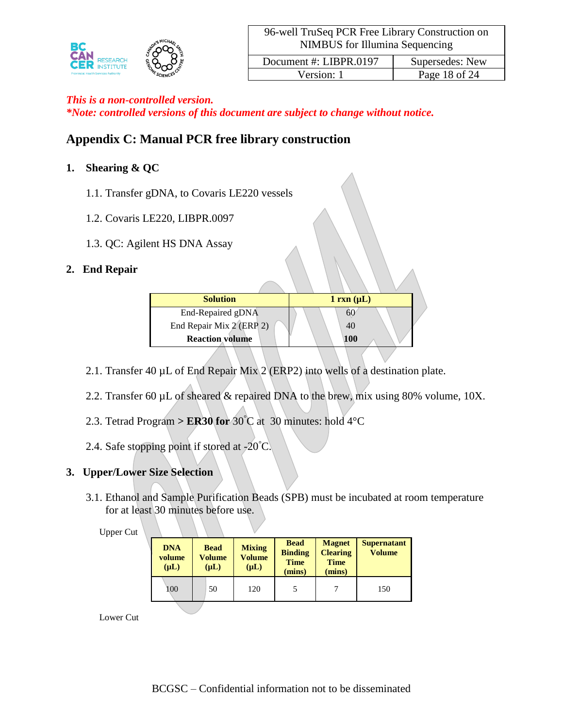

*\*Note: controlled versions of this document are subject to change without notice.*

# **Appendix C: Manual PCR free library construction**

# **1. Shearing & QC**

- 1.1. Transfer gDNA, to Covaris LE220 vessels
- 1.2. Covaris LE220, LIBPR.0097
- 1.3. QC: Agilent HS DNA Assay

# **2. End Repair**

| <b>Solution</b>          | $1 \text{ rxn } (\mu L)$ |
|--------------------------|--------------------------|
| End-Repaired gDNA        |                          |
| End Repair Mix 2 (ERP 2) | 40                       |
| <b>Reaction volume</b>   | 100                      |

- 2.1. Transfer 40  $\mu$ L of End Repair Mix 2 (ERP2) into wells of a destination plate.
- 2.2. Transfer 60 µL of sheared & repaired DNA to the brew, mix using 80% volume, 10X.
- 2.3. Tetrad Program >  $ER30$  for  $30^{\circ}$ C at 30 minutes: hold  $4^{\circ}$ C
- 2.4. Safe stopping point if stored at  $-20^{\circ}$ C.

# **3. Upper/Lower Size Selection**

3.1. Ethanol and Sample Purification Beads (SPB) must be incubated at room temperature for at least 30 minutes before use.

#### Upper Cut

| <b>DNA</b><br>volume<br>$(\mu L)$ | <b>Bead</b><br>Volume<br>$(\mu L)$ |    | <b>Mixing</b><br>Volume<br>$(\mu L)$ | <b>Bead</b><br><b>Binding</b><br><b>Time</b><br>(mins) | <b>Magnet</b><br><b>Clearing</b><br><b>Time</b><br>(mins) | <b>Supernatant</b><br><b>Volume</b> |  |
|-----------------------------------|------------------------------------|----|--------------------------------------|--------------------------------------------------------|-----------------------------------------------------------|-------------------------------------|--|
| 100                               |                                    | 50 | 120                                  |                                                        |                                                           | 150                                 |  |

Lower Cut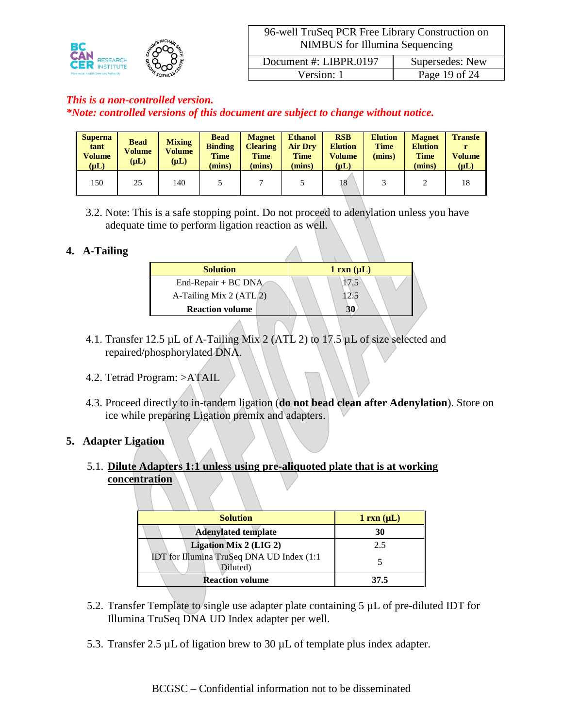

*\*Note: controlled versions of this document are subject to change without notice.*

| <b>Superna</b><br>tant<br><b>Volume</b><br>$(\mu L)$ | <b>Bead</b><br>Volume<br>$(\mu L)$ | <b>Mixing</b><br>Volume<br>$(\mu L)$ | <b>Bead</b><br><b>Binding</b><br><b>Time</b><br>(mins) | <b>Magnet</b><br><b>Clearing</b><br><b>Time</b><br>(mins) | <b>Ethanol</b><br><b>Air Dry</b><br><b>Time</b><br>(mins) | <b>RSB</b><br><b>Elution</b><br><b>Volume</b><br>$(\mu L)$ | <b>Elution</b><br><b>Time</b><br>(mins) | <b>Magnet</b><br><b>Elution</b><br><b>Time</b><br>(mins) | <b>Transfe</b><br>Volume<br>$(\mu L)$ |
|------------------------------------------------------|------------------------------------|--------------------------------------|--------------------------------------------------------|-----------------------------------------------------------|-----------------------------------------------------------|------------------------------------------------------------|-----------------------------------------|----------------------------------------------------------|---------------------------------------|
| 150                                                  | 25                                 | 140                                  |                                                        |                                                           |                                                           | 18                                                         |                                         |                                                          | 18                                    |

3.2. Note: This is a safe stopping point. Do not proceed to adenylation unless you have adequate time to perform ligation reaction as well.

### **4. A-Tailing**

| <b>Solution</b>           | $1 \text{ rxn } (\mu L)$ |
|---------------------------|--------------------------|
| End-Repair + BC DNA       | 17.5                     |
| A-Tailing Mix 2 $(ATL/2)$ | 2.5                      |
| <b>Reaction volume</b>    |                          |

- 4.1. Transfer 12.5 µL of A-Tailing Mix 2 (ATL 2) to 17.5 µL of size selected and repaired/phosphorylated DNA.
- 4.2. Tetrad Program: >ATAIL
- 4.3. Proceed directly to in-tandem ligation (**do not bead clean after Adenylation**). Store on ice while preparing Ligation premix and adapters.

### **5. Adapter Ligation**

5.1. **Dilute Adapters 1:1 unless using pre-aliquoted plate that is at working concentration**

| <b>Solution</b>                                        | $1 \, \text{rxn} \, (\mu L)$ |
|--------------------------------------------------------|------------------------------|
| <b>Adenylated template</b>                             | 30                           |
| Ligation Mix 2 (LIG 2)                                 | 2.5                          |
| IDT for Illumina TruSeq DNA UD Index (1:1)<br>Diluted) |                              |
| <b>Reaction volume</b>                                 | 37.5                         |

- 5.2. Transfer Template to single use adapter plate containing 5 µL of pre-diluted IDT for Illumina TruSeq DNA UD Index adapter per well.
- 5.3. Transfer 2.5  $\mu$ L of ligation brew to 30  $\mu$ L of template plus index adapter.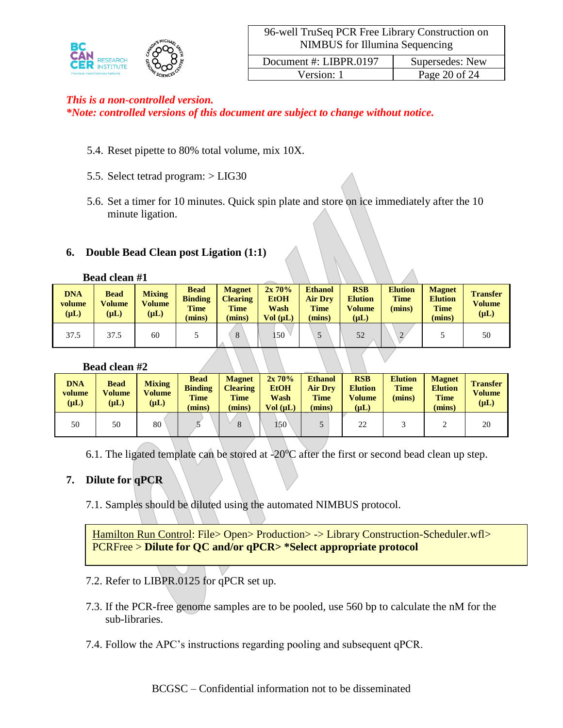

*\*Note: controlled versions of this document are subject to change without notice.*

- 5.4. Reset pipette to 80% total volume, mix 10X.
- 5.5. Select tetrad program: > LIG30
- 5.6. Set a timer for 10 minutes. Quick spin plate and store on ice immediately after the 10 minute ligation.

#### **6. Double Bead Clean post Ligation (1:1)**

#### **Bead clean #1**

| <b>DNA</b><br>volume<br>$(\mu L)$ | <b>Bead</b><br><b>Volume</b><br>$(\mu L)$ | <b>Mixing</b><br><b>Volume</b><br>$(\mu L)$ | <b>Bead</b><br><b>Binding</b><br><b>Time</b><br>(mins) | <b>Magnet</b><br><b>Clearing</b><br><b>Time</b><br>(mins) | 2x70%<br><b>EtOH</b><br>Wash<br>Vol (uL) | <b>Ethanol</b><br><b>Air Dry</b><br><b>Time</b><br>(mins) | <b>RSB</b><br><b>Elution</b><br>Volume<br>$(\mu L)$ | <b>Elution</b><br><b>Time</b><br>(mins) | <b>Magnet</b><br><b>Elution</b><br><b>Time</b><br>(mins) | <b>Transfer</b><br><b>Volume</b><br>$(\mu L)$ |
|-----------------------------------|-------------------------------------------|---------------------------------------------|--------------------------------------------------------|-----------------------------------------------------------|------------------------------------------|-----------------------------------------------------------|-----------------------------------------------------|-----------------------------------------|----------------------------------------------------------|-----------------------------------------------|
| 37.5                              | 37.5                                      | 60                                          |                                                        | 8                                                         | 50                                       |                                                           | 52                                                  | $\gamma$                                |                                                          | 50                                            |

#### **Bead clean #2**

| <b>DNA</b><br>volume<br>$(\mu L)$ | <b>Bead</b><br><b>Volume</b><br>$(\mu L)$ | <b>Mixing</b><br><b>Volume</b><br>$(\mu L)$ | <b>Bead</b><br><b>Binding</b><br><b>Time</b><br>(mins) | <b>Magnet</b><br><b>Clearing</b><br><b>Time</b><br>(mins) | $2x\,70\%$<br><b>EtOH</b><br>Wash<br>Vol (uL) | <b>Ethanol</b><br><b>Air Drv</b><br><b>Time</b><br>(mins) | <b>RSB</b><br><b>Elution</b><br><b>Volume</b><br>$(\mathbf{u} \mathbf{L})$ | <b>Elution</b><br><b>Time</b><br>(mins) | <b>Magnet</b><br><b>Elution</b><br><b>Time</b><br>(mins) | <b>Transfer</b><br><b>Volume</b><br>$(\mu L)$ |
|-----------------------------------|-------------------------------------------|---------------------------------------------|--------------------------------------------------------|-----------------------------------------------------------|-----------------------------------------------|-----------------------------------------------------------|----------------------------------------------------------------------------|-----------------------------------------|----------------------------------------------------------|-----------------------------------------------|
| 50                                | 50                                        | 80                                          |                                                        | $\circ$<br>δ                                              | $150^{\circ}$                                 |                                                           | 22                                                                         |                                         |                                                          | 20                                            |

6.1. The ligated template can be stored at  $-20^{\circ}$ C after the first or second bead clean up step.

#### **7. Dilute for qPCR**

7.1. Samples should be diluted using the automated NIMBUS protocol.

Hamilton Run Control: File> Open> Production> -> Library Construction-Scheduler.wfl> PCRFree > **Dilute for QC and/or qPCR> \*Select appropriate protocol**

- 7.2. Refer to LIBPR.0125 for qPCR set up.
- 7.3. If the PCR-free genome samples are to be pooled, use 560 bp to calculate the nM for the sub-libraries.
- 7.4. Follow the APC's instructions regarding pooling and subsequent qPCR.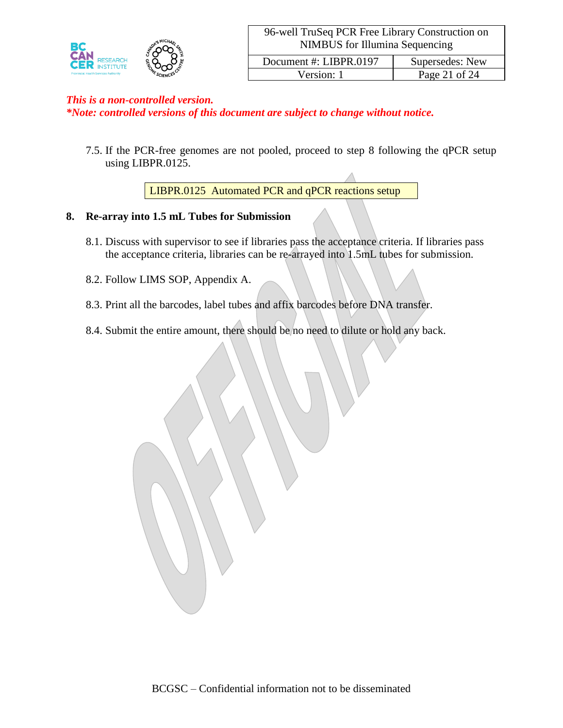

*\*Note: controlled versions of this document are subject to change without notice.*

7.5. If the PCR-free genomes are not pooled, proceed to step 8 following the qPCR setup using LIBPR.0125.

LIBPR.0125 Automated PCR and qPCR reactions setup

### **8. Re-array into 1.5 mL Tubes for Submission**

- 8.1. Discuss with supervisor to see if libraries pass the acceptance criteria. If libraries pass the acceptance criteria, libraries can be re-arrayed into 1.5mL tubes for submission.
- 8.2. Follow LIMS SOP, Appendix A.
- 8.3. Print all the barcodes, label tubes and affix barcodes before DNA transfer.
- 8.4. Submit the entire amount, there should be no need to dilute or hold any back.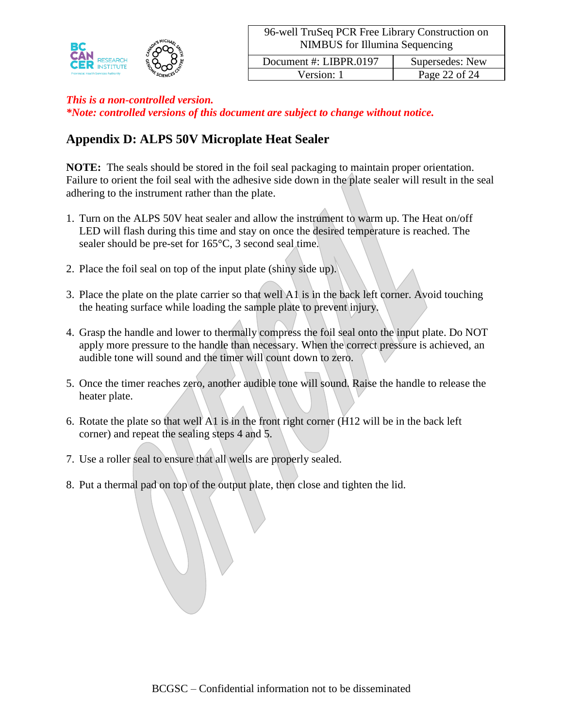

*\*Note: controlled versions of this document are subject to change without notice.*

# **Appendix D: ALPS 50V Microplate Heat Sealer**

**NOTE:** The seals should be stored in the foil seal packaging to maintain proper orientation. Failure to orient the foil seal with the adhesive side down in the plate sealer will result in the seal adhering to the instrument rather than the plate.

- 1. Turn on the ALPS 50V heat sealer and allow the instrument to warm up. The Heat on/off LED will flash during this time and stay on once the desired temperature is reached. The sealer should be pre-set for 165°C, 3 second seal time.
- 2. Place the foil seal on top of the input plate (shiny side up).
- 3. Place the plate on the plate carrier so that well A1 is in the back left corner. Avoid touching the heating surface while loading the sample plate to prevent injury.
- 4. Grasp the handle and lower to thermally compress the foil seal onto the input plate. Do NOT apply more pressure to the handle than necessary. When the correct pressure is achieved, an audible tone will sound and the timer will count down to zero.
- 5. Once the timer reaches zero, another audible tone will sound. Raise the handle to release the heater plate.
- 6. Rotate the plate so that well A1 is in the front right corner (H12 will be in the back left corner) and repeat the sealing steps 4 and 5.
- 7. Use a roller seal to ensure that all wells are properly sealed.
- 8. Put a thermal pad on top of the output plate, then close and tighten the lid.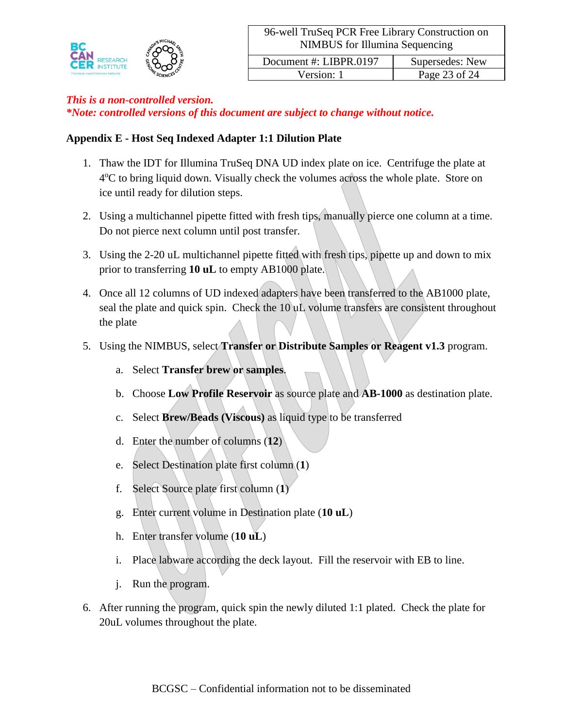

*\*Note: controlled versions of this document are subject to change without notice.*

# **Appendix E - Host Seq Indexed Adapter 1:1 Dilution Plate**

- 1. Thaw the IDT for Illumina TruSeq DNA UD index plate on ice. Centrifuge the plate at 4<sup>o</sup>C to bring liquid down. Visually check the volumes across the whole plate. Store on ice until ready for dilution steps.
- 2. Using a multichannel pipette fitted with fresh tips, manually pierce one column at a time. Do not pierce next column until post transfer.
- 3. Using the 2-20 uL multichannel pipette fitted with fresh tips, pipette up and down to mix prior to transferring **10 uL** to empty AB1000 plate.
- 4. Once all 12 columns of UD indexed adapters have been transferred to the AB1000 plate, seal the plate and quick spin. Check the 10 uL volume transfers are consistent throughout the plate
- 5. Using the NIMBUS, select **Transfer or Distribute Samples or Reagent v1.3** program.
	- a. Select **Transfer brew or samples**.
	- b. Choose **Low Profile Reservoir** as source plate and **AB-1000** as destination plate.
	- c. Select **Brew/Beads (Viscous)** as liquid type to be transferred
	- d. Enter the number of columns (**12**)
	- e. Select Destination plate first column (**1**)
	- f. Select Source plate first column (**1**)
	- g. Enter current volume in Destination plate (**10 uL**)
	- h. Enter transfer volume (**10 uL**)
	- i. Place labware according the deck layout. Fill the reservoir with EB to line.
	- j. Run the program.
- 6. After running the program, quick spin the newly diluted 1:1 plated. Check the plate for 20uL volumes throughout the plate.